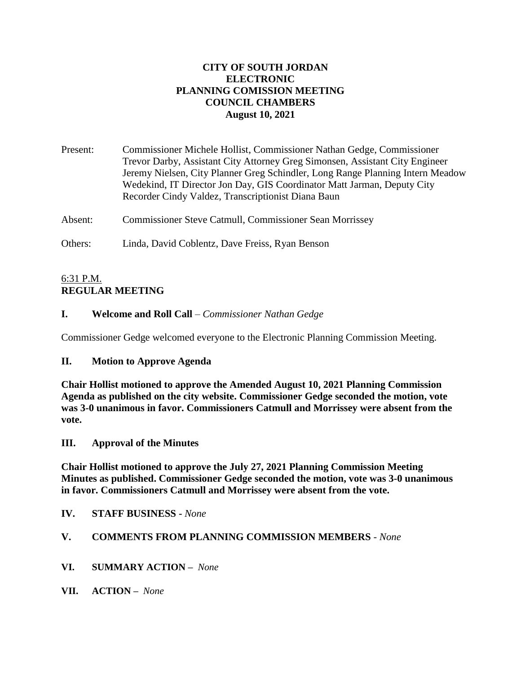# **CITY OF SOUTH JORDAN ELECTRONIC PLANNING COMISSION MEETING COUNCIL CHAMBERS August 10, 2021**

Present: Commissioner Michele Hollist, Commissioner Nathan Gedge, Commissioner Trevor Darby, Assistant City Attorney Greg Simonsen, Assistant City Engineer Jeremy Nielsen, City Planner Greg Schindler, Long Range Planning Intern Meadow Wedekind, IT Director Jon Day, GIS Coordinator Matt Jarman, Deputy City Recorder Cindy Valdez, Transcriptionist Diana Baun

Absent: Commissioner Steve Catmull, Commissioner Sean Morrissey

Others: Linda, David Coblentz, Dave Freiss, Ryan Benson

# 6:31 P.M. **REGULAR MEETING**

# **I. Welcome and Roll Call** – *Commissioner Nathan Gedge*

Commissioner Gedge welcomed everyone to the Electronic Planning Commission Meeting.

# **II. Motion to Approve Agenda**

**Chair Hollist motioned to approve the Amended August 10, 2021 Planning Commission Agenda as published on the city website. Commissioner Gedge seconded the motion, vote was 3-0 unanimous in favor. Commissioners Catmull and Morrissey were absent from the vote.**

# **III. Approval of the Minutes**

**Chair Hollist motioned to approve the July 27, 2021 Planning Commission Meeting Minutes as published. Commissioner Gedge seconded the motion, vote was 3-0 unanimous in favor. Commissioners Catmull and Morrissey were absent from the vote.**

**IV. STAFF BUSINESS -** *None*

# **V. COMMENTS FROM PLANNING COMMISSION MEMBERS** - *None*

- **VI. SUMMARY ACTION –** *None*
- **VII. ACTION –** *None*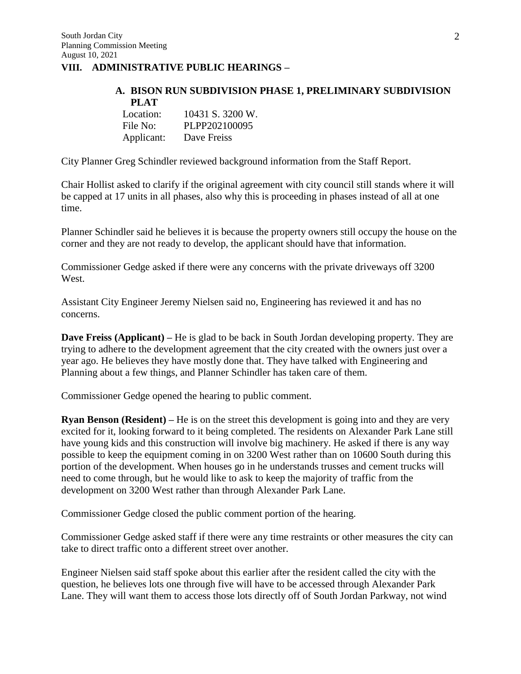### **VIII. ADMINISTRATIVE PUBLIC HEARINGS –**

#### **A. BISON RUN SUBDIVISION PHASE 1, PRELIMINARY SUBDIVISION PLAT**  $10121 8.3200 \text{ W}$

| Location:  | 10431 S. 3200 W. |
|------------|------------------|
| File No:   | PLPP202100095    |
| Applicant: | Dave Freiss      |

City Planner Greg Schindler reviewed background information from the Staff Report.

Chair Hollist asked to clarify if the original agreement with city council still stands where it will be capped at 17 units in all phases, also why this is proceeding in phases instead of all at one time.

Planner Schindler said he believes it is because the property owners still occupy the house on the corner and they are not ready to develop, the applicant should have that information.

Commissioner Gedge asked if there were any concerns with the private driveways off 3200 West.

Assistant City Engineer Jeremy Nielsen said no, Engineering has reviewed it and has no concerns.

**Dave Freiss (Applicant)** – He is glad to be back in South Jordan developing property. They are trying to adhere to the development agreement that the city created with the owners just over a year ago. He believes they have mostly done that. They have talked with Engineering and Planning about a few things, and Planner Schindler has taken care of them.

Commissioner Gedge opened the hearing to public comment.

**Ryan Benson (Resident) –** He is on the street this development is going into and they are very excited for it, looking forward to it being completed. The residents on Alexander Park Lane still have young kids and this construction will involve big machinery. He asked if there is any way possible to keep the equipment coming in on 3200 West rather than on 10600 South during this portion of the development. When houses go in he understands trusses and cement trucks will need to come through, but he would like to ask to keep the majority of traffic from the development on 3200 West rather than through Alexander Park Lane.

Commissioner Gedge closed the public comment portion of the hearing.

Commissioner Gedge asked staff if there were any time restraints or other measures the city can take to direct traffic onto a different street over another.

Engineer Nielsen said staff spoke about this earlier after the resident called the city with the question, he believes lots one through five will have to be accessed through Alexander Park Lane. They will want them to access those lots directly off of South Jordan Parkway, not wind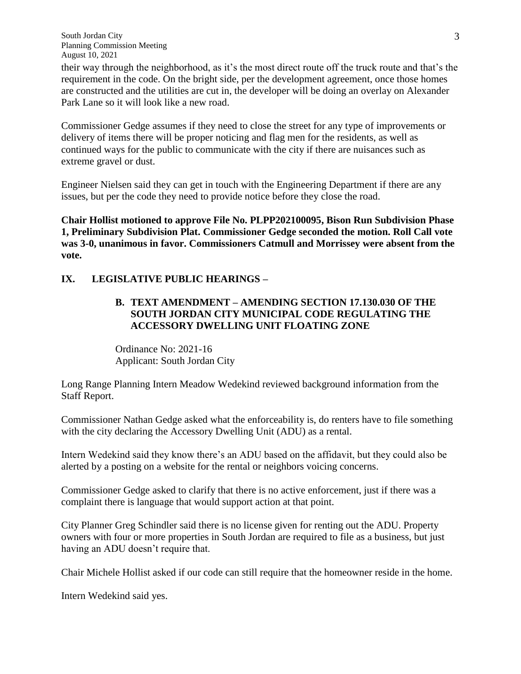South Jordan City Planning Commission Meeting August 10, 2021

their way through the neighborhood, as it's the most direct route off the truck route and that's the requirement in the code. On the bright side, per the development agreement, once those homes are constructed and the utilities are cut in, the developer will be doing an overlay on Alexander Park Lane so it will look like a new road.

Commissioner Gedge assumes if they need to close the street for any type of improvements or delivery of items there will be proper noticing and flag men for the residents, as well as continued ways for the public to communicate with the city if there are nuisances such as extreme gravel or dust.

Engineer Nielsen said they can get in touch with the Engineering Department if there are any issues, but per the code they need to provide notice before they close the road.

**Chair Hollist motioned to approve File No. PLPP202100095, Bison Run Subdivision Phase 1, Preliminary Subdivision Plat. Commissioner Gedge seconded the motion. Roll Call vote was 3-0, unanimous in favor. Commissioners Catmull and Morrissey were absent from the vote.**

# **IX. LEGISLATIVE PUBLIC HEARINGS –**

# **B. TEXT AMENDMENT – AMENDING SECTION 17.130.030 OF THE SOUTH JORDAN CITY MUNICIPAL CODE REGULATING THE ACCESSORY DWELLING UNIT FLOATING ZONE**

Ordinance No: 2021-16 Applicant: South Jordan City

Long Range Planning Intern Meadow Wedekind reviewed background information from the Staff Report.

Commissioner Nathan Gedge asked what the enforceability is, do renters have to file something with the city declaring the Accessory Dwelling Unit (ADU) as a rental.

Intern Wedekind said they know there's an ADU based on the affidavit, but they could also be alerted by a posting on a website for the rental or neighbors voicing concerns.

Commissioner Gedge asked to clarify that there is no active enforcement, just if there was a complaint there is language that would support action at that point.

City Planner Greg Schindler said there is no license given for renting out the ADU. Property owners with four or more properties in South Jordan are required to file as a business, but just having an ADU doesn't require that.

Chair Michele Hollist asked if our code can still require that the homeowner reside in the home.

Intern Wedekind said yes.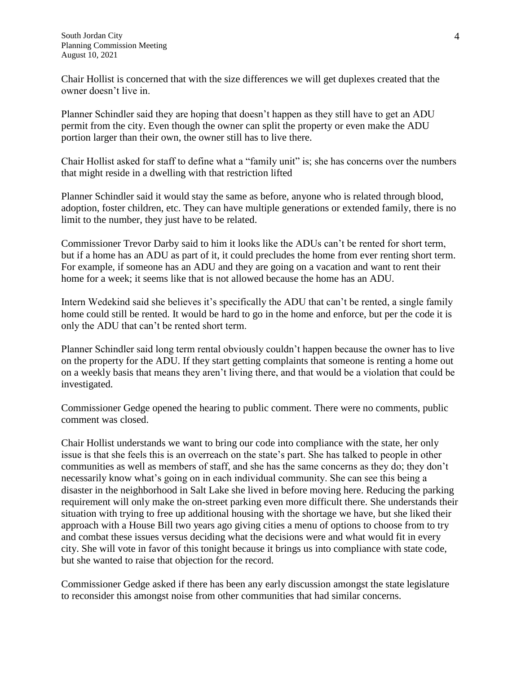Chair Hollist is concerned that with the size differences we will get duplexes created that the owner doesn't live in.

Planner Schindler said they are hoping that doesn't happen as they still have to get an ADU permit from the city. Even though the owner can split the property or even make the ADU portion larger than their own, the owner still has to live there.

Chair Hollist asked for staff to define what a "family unit" is; she has concerns over the numbers that might reside in a dwelling with that restriction lifted

Planner Schindler said it would stay the same as before, anyone who is related through blood, adoption, foster children, etc. They can have multiple generations or extended family, there is no limit to the number, they just have to be related.

Commissioner Trevor Darby said to him it looks like the ADUs can't be rented for short term, but if a home has an ADU as part of it, it could precludes the home from ever renting short term. For example, if someone has an ADU and they are going on a vacation and want to rent their home for a week; it seems like that is not allowed because the home has an ADU.

Intern Wedekind said she believes it's specifically the ADU that can't be rented, a single family home could still be rented. It would be hard to go in the home and enforce, but per the code it is only the ADU that can't be rented short term.

Planner Schindler said long term rental obviously couldn't happen because the owner has to live on the property for the ADU. If they start getting complaints that someone is renting a home out on a weekly basis that means they aren't living there, and that would be a violation that could be investigated.

Commissioner Gedge opened the hearing to public comment. There were no comments, public comment was closed.

Chair Hollist understands we want to bring our code into compliance with the state, her only issue is that she feels this is an overreach on the state's part. She has talked to people in other communities as well as members of staff, and she has the same concerns as they do; they don't necessarily know what's going on in each individual community. She can see this being a disaster in the neighborhood in Salt Lake she lived in before moving here. Reducing the parking requirement will only make the on-street parking even more difficult there. She understands their situation with trying to free up additional housing with the shortage we have, but she liked their approach with a House Bill two years ago giving cities a menu of options to choose from to try and combat these issues versus deciding what the decisions were and what would fit in every city. She will vote in favor of this tonight because it brings us into compliance with state code, but she wanted to raise that objection for the record.

Commissioner Gedge asked if there has been any early discussion amongst the state legislature to reconsider this amongst noise from other communities that had similar concerns.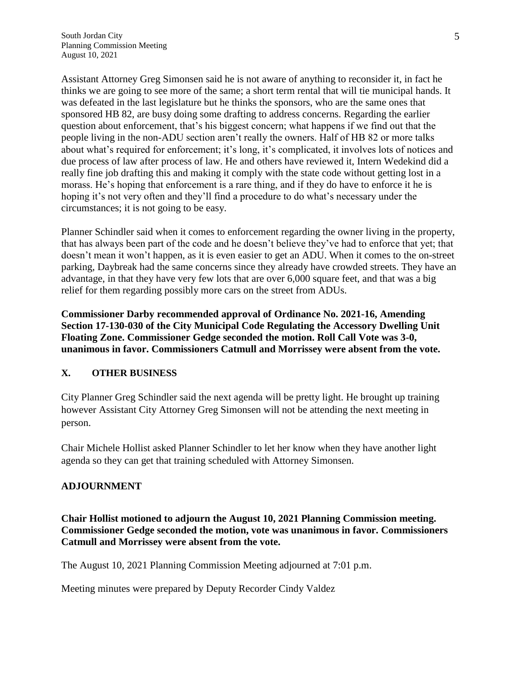Assistant Attorney Greg Simonsen said he is not aware of anything to reconsider it, in fact he thinks we are going to see more of the same; a short term rental that will tie municipal hands. It was defeated in the last legislature but he thinks the sponsors, who are the same ones that sponsored HB 82, are busy doing some drafting to address concerns. Regarding the earlier question about enforcement, that's his biggest concern; what happens if we find out that the people living in the non-ADU section aren't really the owners. Half of HB 82 or more talks about what's required for enforcement; it's long, it's complicated, it involves lots of notices and due process of law after process of law. He and others have reviewed it, Intern Wedekind did a really fine job drafting this and making it comply with the state code without getting lost in a morass. He's hoping that enforcement is a rare thing, and if they do have to enforce it he is hoping it's not very often and they'll find a procedure to do what's necessary under the circumstances; it is not going to be easy.

Planner Schindler said when it comes to enforcement regarding the owner living in the property, that has always been part of the code and he doesn't believe they've had to enforce that yet; that doesn't mean it won't happen, as it is even easier to get an ADU. When it comes to the on-street parking, Daybreak had the same concerns since they already have crowded streets. They have an advantage, in that they have very few lots that are over 6,000 square feet, and that was a big relief for them regarding possibly more cars on the street from ADUs.

**Commissioner Darby recommended approval of Ordinance No. 2021-16, Amending Section 17-130-030 of the City Municipal Code Regulating the Accessory Dwelling Unit Floating Zone. Commissioner Gedge seconded the motion. Roll Call Vote was 3-0, unanimous in favor. Commissioners Catmull and Morrissey were absent from the vote.**

#### **X. OTHER BUSINESS**

City Planner Greg Schindler said the next agenda will be pretty light. He brought up training however Assistant City Attorney Greg Simonsen will not be attending the next meeting in person.

Chair Michele Hollist asked Planner Schindler to let her know when they have another light agenda so they can get that training scheduled with Attorney Simonsen.

# **ADJOURNMENT**

**Chair Hollist motioned to adjourn the August 10, 2021 Planning Commission meeting. Commissioner Gedge seconded the motion, vote was unanimous in favor. Commissioners Catmull and Morrissey were absent from the vote.**

The August 10, 2021 Planning Commission Meeting adjourned at 7:01 p.m.

Meeting minutes were prepared by Deputy Recorder Cindy Valdez